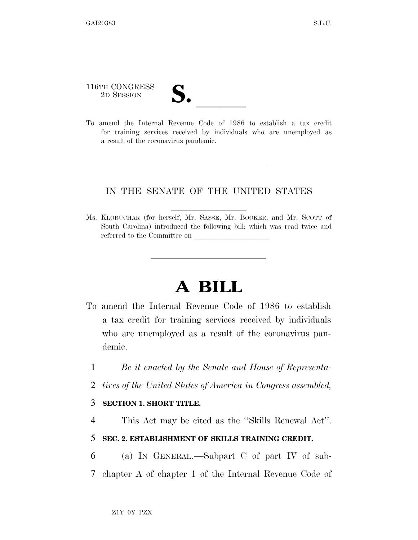116TH CONGRESS

2D SESSION **S.** ll To amend the Internal Revenue Code of 1986 to establish a tax credit for training services received by individuals who are unemployed as a result of the coronavirus pandemic.

## IN THE SENATE OF THE UNITED STATES

Ms. KLOBUCHAR (for herself, Mr. SASSE, Mr. BOOKER, and Mr. SCOTT of South Carolina) introduced the following bill; which was read twice and referred to the Committee on

# **A BILL**

- To amend the Internal Revenue Code of 1986 to establish a tax credit for training services received by individuals who are unemployed as a result of the coronavirus pandemic.
	- 1 *Be it enacted by the Senate and House of Representa-*
	- 2 *tives of the United States of America in Congress assembled,*

#### 3 **SECTION 1. SHORT TITLE.**

4 This Act may be cited as the ''Skills Renewal Act''.

## 5 **SEC. 2. ESTABLISHMENT OF SKILLS TRAINING CREDIT.**

6 (a) IN GENERAL.—Subpart C of part IV of sub-7 chapter A of chapter 1 of the Internal Revenue Code of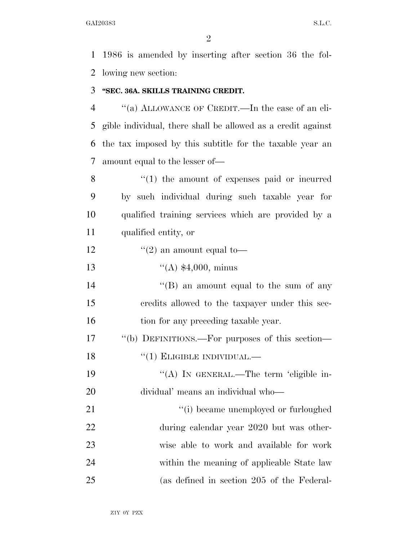$GAI20383$  S.L.C.

 1986 is amended by inserting after section 36 the fol-lowing new section:

#### **''SEC. 36A. SKILLS TRAINING CREDIT.**

 ''(a) ALLOWANCE OF CREDIT.—In the case of an eli- gible individual, there shall be allowed as a credit against the tax imposed by this subtitle for the taxable year an amount equal to the lesser of—

8 ''(1) the amount of expenses paid or incurred by such individual during such taxable year for qualified training services which are provided by a qualified entity, or

12  $\frac{1}{2}$  an amount equal to-

''(A) \$4,000, minus

14 ''(B) an amount equal to the sum of any credits allowed to the taxpayer under this sec-16 tion for any preceding taxable year.

 ''(b) DEFINITIONS.—For purposes of this section— 18 "(1) ELIGIBLE INDIVIDUAL.—

19 "(A) IN GENERAL.—The term 'eligible in-dividual' means an individual who—

 $\frac{1}{2}$  (i) became unemployed or furloughed during calendar year 2020 but was other- wise able to work and available for work within the meaning of applicable State law (as defined in section 205 of the Federal-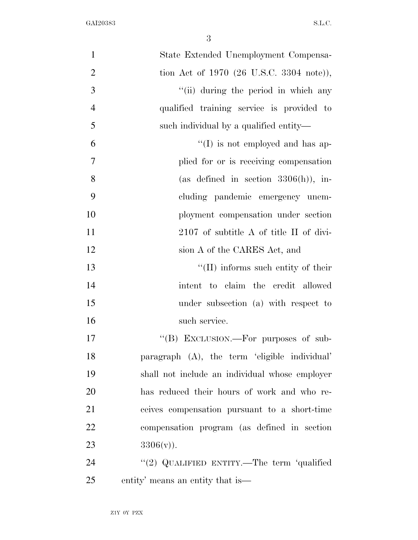| $\mathbf{1}$   | State Extended Unemployment Compensa-          |
|----------------|------------------------------------------------|
| $\overline{2}$ | tion Act of 1970 (26 U.S.C. 3304 note)),       |
| 3              | "(ii) during the period in which any           |
| $\overline{4}$ | qualified training service is provided to      |
| 5              | such individual by a qualified entity—         |
| 6              | $\lq\lq$ (I) is not employed and has ap-       |
| $\tau$         | plied for or is receiving compensation         |
| 8              | (as defined in section $3306(h)$ ), in-        |
| 9              | cluding pandemic emergency unem-               |
| 10             | ployment compensation under section            |
| 11             | 2107 of subtitle A of title II of divi-        |
| 12             | sion A of the CARES Act, and                   |
| 13             | $\lq\lq$ (II) informs such entity of their     |
| 14             | intent to claim the credit allowed             |
| 15             | under subsection (a) with respect to           |
| 16             | such service.                                  |
| 17             | "(B) EXCLUSION.—For purposes of sub-           |
| 18             | paragraph (A), the term 'eligible individual'  |
| 19             | shall not include an individual whose employer |
| 20             | has reduced their hours of work and who re-    |
| 21             | ceives compensation pursuant to a short-time   |
| 22             | compensation program (as defined in section    |
| 23             | $3306(v)$ ).                                   |
| 24             | "(2) QUALIFIED ENTITY.—The term 'qualified     |
| 25             | entity' means an entity that is—               |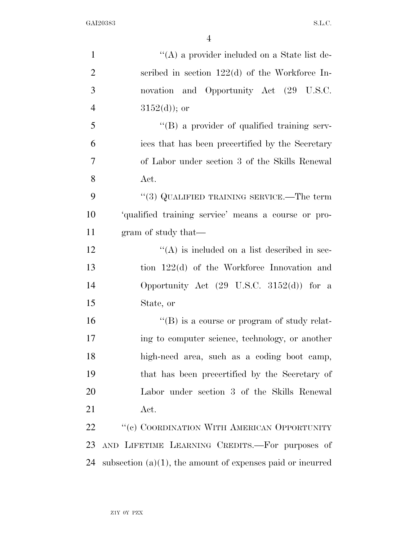GAI20383 S.L.C.

| $\mathbf{1}$   | $\lq\lq$ a provider included on a State list de-              |
|----------------|---------------------------------------------------------------|
| $\overline{2}$ | scribed in section $122(d)$ of the Workforce In-              |
| 3              | novation and Opportunity Act (29 U.S.C.                       |
| $\overline{4}$ | $3152(d)$ ; or                                                |
| 5              | "(B) a provider of qualified training serv-                   |
| 6              | ices that has been precertified by the Secretary              |
| $\overline{7}$ | of Labor under section 3 of the Skills Renewal                |
| 8              | Act.                                                          |
| 9              | "(3) QUALIFIED TRAINING SERVICE.—The term                     |
| 10             | 'qualified training service' means a course or pro-           |
| 11             | gram of study that—                                           |
| 12             | $\lq\lq$ is included on a list described in sec-              |
| 13             | tion $122(d)$ of the Workforce Innovation and                 |
| 14             | Opportunity Act $(29 \text{ U.S.C. } 3152(d))$ for a          |
| 15             | State, or                                                     |
| 16             | "(B) is a course or program of study relat-                   |
| 17             | ing to computer science, technology, or another               |
| 18             | high-need area, such as a coding boot camp,                   |
| 19             | that has been precertified by the Secretary of                |
| 20             | Labor under section 3 of the Skills Renewal                   |
| 21             | Act.                                                          |
| 22             | "(c) COORDINATION WITH AMERICAN OPPORTUNITY                   |
| 23             | AND LIFETIME LEARNING CREDITS.—For purposes of                |
| 24             | subsection $(a)(1)$ , the amount of expenses paid or incurred |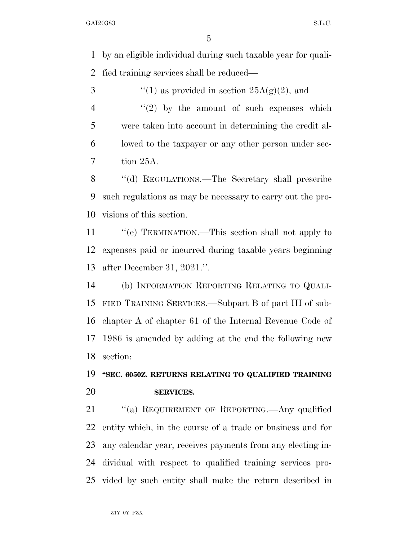by an eligible individual during such taxable year for quali-fied training services shall be reduced—

 $\frac{1}{2}$  (1) as provided in section  $25A(g)(2)$ , and  $\frac{4}{2}$  ''(2) by the amount of such expenses which were taken into account in determining the credit al- lowed to the taxpayer or any other person under sec-tion 25A.

8 "(d) REGULATIONS.—The Secretary shall prescribe such regulations as may be necessary to carry out the pro-visions of this section.

 ''(e) TERMINATION.—This section shall not apply to expenses paid or incurred during taxable years beginning after December 31, 2021.''.

 (b) INFORMATION REPORTING RELATING TO QUALI- FIED TRAINING SERVICES.—Subpart B of part III of sub- chapter A of chapter 61 of the Internal Revenue Code of 1986 is amended by adding at the end the following new section:

# **''SEC. 6050Z. RETURNS RELATING TO QUALIFIED TRAINING SERVICES.**

21 "(a) REQUIREMENT OF REPORTING.—Any qualified entity which, in the course of a trade or business and for any calendar year, receives payments from any electing in- dividual with respect to qualified training services pro-vided by such entity shall make the return described in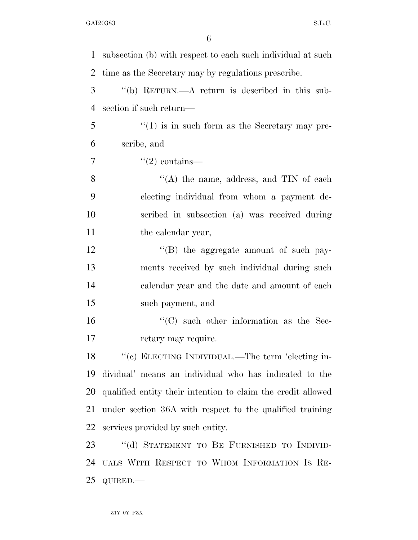| 1              | subsection (b) with respect to each such individual at such  |
|----------------|--------------------------------------------------------------|
| 2              | time as the Secretary may by regulations prescribe.          |
| 3              | "(b) RETURN.—A return is described in this sub-              |
| $\overline{4}$ | section if such return—                                      |
| 5              | $\cdot\cdot(1)$ is in such form as the Secretary may pre-    |
| 6              | scribe, and                                                  |
| 7              | $\lq(2)$ contains—                                           |
| 8              | "(A) the name, address, and $TIN$ of each                    |
| 9              | electing individual from whom a payment de-                  |
| 10             | scribed in subsection (a) was received during                |
| 11             | the calendar year,                                           |
| 12             | "(B) the aggregate amount of such pay-                       |
| 13             | ments received by such individual during such                |
| 14             | calendar year and the date and amount of each                |
| 15             | such payment, and                                            |
| 16             | $\cdot$ (C) such other information as the Sec-               |
| 17             | retary may require.                                          |
| 18             | "(c) ELECTING INDIVIDUAL.—The term 'electing in-             |
| 19             | dividual' means an individual who has indicated to the       |
| 20             | qualified entity their intention to claim the credit allowed |
| 21             | under section 36A with respect to the qualified training     |
| 22             | services provided by such entity.                            |
| 23             | "(d) STATEMENT TO BE FURNISHED TO INDIVID-                   |
| 24             | UALS WITH RESPECT TO WHOM INFORMATION IS RE-                 |
| 25             | QUIRED.-                                                     |
|                |                                                              |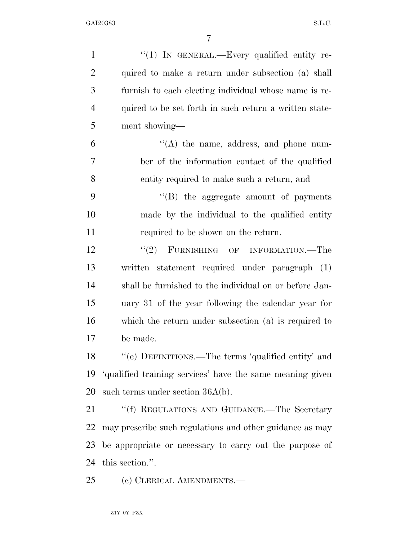| $\mathbf{1}$   | " $(1)$ In GENERAL.—Every qualified entity re-            |
|----------------|-----------------------------------------------------------|
| $\overline{2}$ | quired to make a return under subsection (a) shall        |
| 3              | furnish to each electing individual whose name is re-     |
| $\overline{4}$ | quired to be set forth in such return a written state-    |
| 5              | ment showing-                                             |
| 6              | $\lq\lq$ the name, address, and phone num-                |
| 7              | ber of the information contact of the qualified           |
| 8              | entity required to make such a return, and                |
| 9              | $\lq\lq$ (B) the aggregate amount of payments             |
| 10             | made by the individual to the qualified entity            |
| 11             | required to be shown on the return.                       |
| 12             | (2)<br>FURNISHING OF INFORMATION.—The                     |
| 13             | written statement required under paragraph (1)            |
| 14             | shall be furnished to the individual on or before Jan-    |
| 15             | uary 31 of the year following the calendar year for       |
| 16             | which the return under subsection $(a)$ is required to    |
| 17             | be made.                                                  |
| 18             | "(e) DEFINITIONS.—The terms 'qualified entity' and        |
| 19             | 'qualified training services' have the same meaning given |
| 20             | such terms under section $36A(b)$ .                       |
| 21             | "(f) REGULATIONS AND GUIDANCE.—The Secretary              |
| 22             | may prescribe such regulations and other guidance as may  |
| 23             | be appropriate or necessary to carry out the purpose of   |
| 24             | this section.".                                           |
| 25             | (c) CLERICAL AMENDMENTS.—                                 |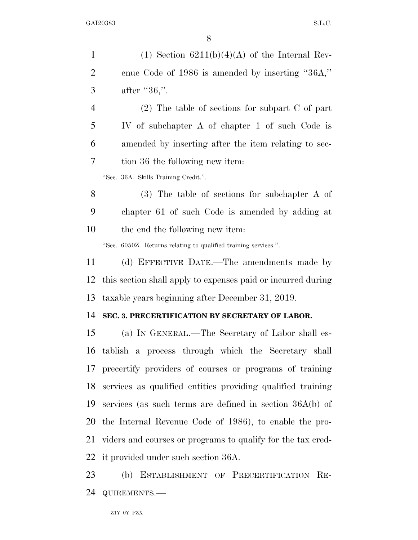| $\mathbf{1}$   | (1) Section $6211(b)(4)(A)$ of the Internal Rev-                |
|----------------|-----------------------------------------------------------------|
| $\overline{2}$ | enue Code of 1986 is amended by inserting "36A,"                |
| 3              | after " $36$ ,".                                                |
| $\overline{4}$ | $(2)$ The table of sections for subpart C of part               |
| 5              | IV of subchapter A of chapter 1 of such Code is                 |
| 6              | amended by inserting after the item relating to sec-            |
| 7              | tion 36 the following new item:                                 |
|                | "Sec. 36A. Skills Training Credit.".                            |
| 8              | $(3)$ The table of sections for subchapter A of                 |
| 9              | chapter 61 of such Code is amended by adding at                 |
| 10             | the end the following new item:                                 |
|                | "Sec. 6050Z. Returns relating to qualified training services.". |
| 11             | (d) EFFECTIVE DATE.—The amendments made by                      |
| 12             | this section shall apply to expenses paid or incurred during    |
| 13             | taxable years beginning after December 31, 2019.                |
| 14             | SEC. 3. PRECERTIFICATION BY SECRETARY OF LABOR.                 |
| 15             | (a) IN GENERAL.—The Secretary of Labor shall es-                |
|                | 16 tablish a process through which the Secretary shall          |
|                | 17 precertify providers of courses or programs of training      |
| 18             | services as qualified entities providing qualified training     |
| 19             | services (as such terms are defined in section $36A(b)$ of      |
|                | 20 the Internal Revenue Code of 1986), to enable the pro-       |
| 21             | viders and courses or programs to qualify for the tax cred-     |
|                | 22 it provided under such section 36A.                          |
| 23             | (b) ESTABLISHMENT OF PRECERTIFICATION RE-                       |
| 24             | QUIREMENTS.-                                                    |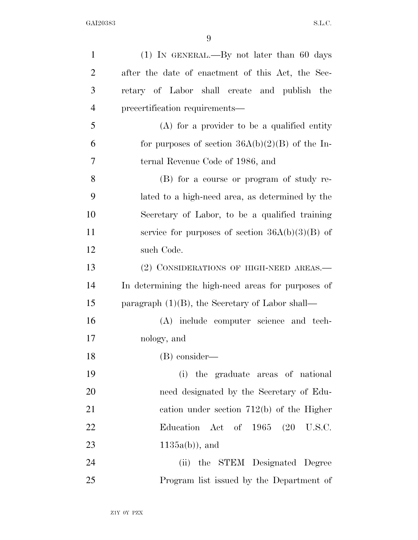| $\mathbf{1}$   | $(1)$ IN GENERAL.—By not later than 60 days        |
|----------------|----------------------------------------------------|
| $\overline{2}$ | after the date of enactment of this Act, the Sec-  |
| 3              | retary of Labor shall create and publish the       |
| $\overline{4}$ | precertification requirements—                     |
| 5              | $(A)$ for a provider to be a qualified entity      |
| 6              | for purposes of section $36A(b)(2)(B)$ of the In-  |
| 7              | ternal Revenue Code of 1986, and                   |
| 8              | (B) for a course or program of study re-           |
| 9              | lated to a high-need area, as determined by the    |
| 10             | Secretary of Labor, to be a qualified training     |
| 11             | service for purposes of section $36A(b)(3)(B)$ of  |
| 12             | such Code.                                         |
| 13             | (2) CONSIDERATIONS OF HIGH-NEED AREAS.—            |
| 14             | In determining the high-need areas for purposes of |
| 15             | paragraph $(1)(B)$ , the Secretary of Labor shall— |
| 16             | (A) include computer science and tech-             |
| 17             | nology, and                                        |
| 18             | (B) consider—                                      |
| 19             | (i) the graduate areas of national                 |
| 20             | need designated by the Secretary of Edu-           |
| 21             | cation under section $712(b)$ of the Higher        |
| 22             | Education Act of 1965 (20 U.S.C.                   |
| 23             | $1135a(b)$ , and                                   |
| 24             | (ii) the STEM Designated Degree                    |
| 25             | Program list issued by the Department of           |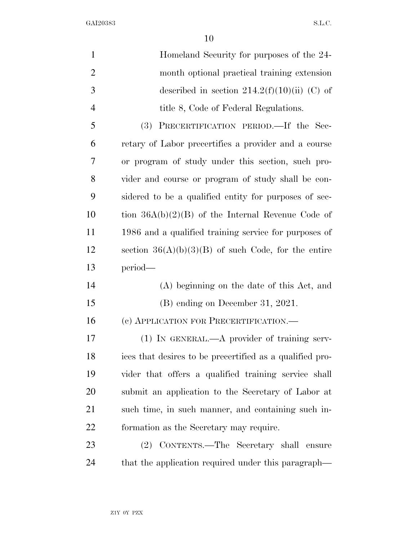GAI20383 S.L.C.

| $\mathbf{1}$   | Homeland Security for purposes of the 24-                |
|----------------|----------------------------------------------------------|
| $\overline{2}$ | month optional practical training extension              |
| 3              | described in section $214.2(f)(10)(ii)$ (C) of           |
| $\overline{4}$ | title 8, Code of Federal Regulations.                    |
| 5              | PRECERTIFICATION PERIOD. If the Sec-<br>(3)              |
| 6              | retary of Labor precertifies a provider and a course     |
| 7              | or program of study under this section, such pro-        |
| 8              | vider and course or program of study shall be con-       |
| 9              | sidered to be a qualified entity for purposes of sec-    |
| 10             | tion $36A(b)(2)(B)$ of the Internal Revenue Code of      |
| 11             | 1986 and a qualified training service for purposes of    |
| 12             | section $36(A)(b)(3)(B)$ of such Code, for the entire    |
| 13             | period-                                                  |
| 14             | (A) beginning on the date of this Act, and               |
| 15             | $(B)$ ending on December 31, 2021.                       |
| 16             | (c) APPLICATION FOR PRECERTIFICATION.—                   |
| 17             | $(1)$ In GENERAL.—A provider of training serv-           |
| 18             | ices that desires to be precertified as a qualified pro- |
| 19             | vider that offers a qualified training service shall     |
| 20             | submit an application to the Secretary of Labor at       |
| 21             | such time, in such manner, and containing such in-       |
| 22             | formation as the Secretary may require.                  |
| 23             | (2) CONTENTS.—The Secretary shall ensure                 |
| 24             | that the application required under this paragraph—      |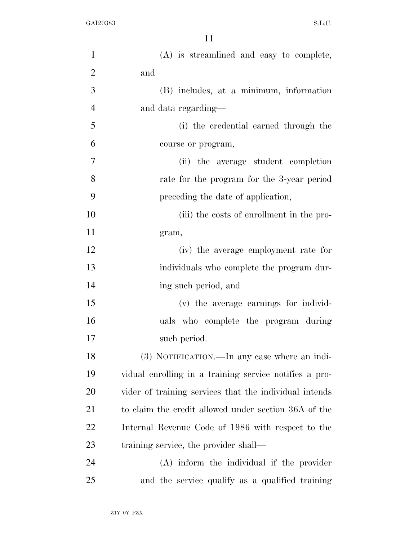| $\mathbf{1}$   | (A) is streamlined and easy to complete,               |
|----------------|--------------------------------------------------------|
| $\overline{2}$ | and                                                    |
| 3              | (B) includes, at a minimum, information                |
| $\overline{4}$ | and data regarding—                                    |
| 5              | (i) the credential earned through the                  |
| 6              | course or program,                                     |
| 7              | (ii) the average student completion                    |
| 8              | rate for the program for the 3-year period             |
| 9              | preceding the date of application,                     |
| 10             | (iii) the costs of enrollment in the pro-              |
| 11             | gram,                                                  |
| 12             | (iv) the average employment rate for                   |
| 13             | individuals who complete the program dur-              |
| 14             | ing such period, and                                   |
| 15             | (v) the average earnings for individ-                  |
| 16             | uals who complete the program during                   |
| 17             | such period.                                           |
| 18             | (3) NOTIFICATION.—In any case where an indi-           |
| 19             | vidual enrolling in a training service notifies a pro- |
| 20             | vider of training services that the individual intends |
| 21             | to claim the credit allowed under section 36A of the   |
| 22             | Internal Revenue Code of 1986 with respect to the      |
| 23             | training service, the provider shall—                  |
| 24             | (A) inform the individual if the provider              |
| 25             | and the service qualify as a qualified training        |